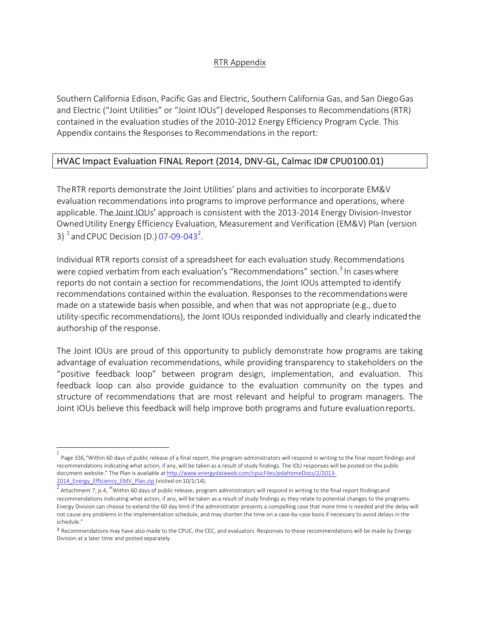### RTR Appendix

Southern California Edison, Pacific Gas and Electric, Southern California Gas, and San DiegoGas and Electric ("Joint Utilities" or "Joint IOUs") developed Responses to Recommendations(RTR) contained in the evaluation studies of the 2010-2012 Energy Efficiency Program Cycle. This Appendix contains the Responses to Recommendations in the report:

### HVAC Impact Evaluation FINAL Report (2014, DNV-GL, Calmac ID# CPU0100.01)

TheRTR reports demonstrate the Joint Utilities' plans and activities to incorporate EM&V evaluation recommendations into programs to improve performance and operations, where applicable. The Joint IOUs' approach is consistent with the 2013-2014 Energy Division-Investor OwnedUtility Energy Efficiency Evaluation, Measurement and Verification (EM&V) Plan (version 3)  $^1$  and CPUC Decision (D.) 07-09-043<sup>2</sup>.

Individual RTR reports consist of a spreadsheet for each evaluation study.Recommendations were copied verbatim from each evaluation's "Recommendations" section.<sup>3</sup> In cases where reports do not contain a section for recommendations, the Joint IOUs attempted to identify recommendations contained within the evaluation. Responses to the recommendationswere made on a statewide basis when possible, and when that was not appropriate (e.g., dueto utility-specific recommendations), the Joint IOUs responded individually and clearly indicatedthe authorship of the response.

The Joint IOUs are proud of this opportunity to publicly demonstrate how programs are taking advantage of evaluation recommendations, while providing transparency to stakeholders on the "positive feedback loop" between program design, implementation, and evaluation. This feedback loop can also provide guidance to the evaluation community on the types and structure of recommendations that are most relevant and helpful to program managers. The Joint IOUs believe this feedback will help improve both programs and future evaluationreports.

<sup>1</sup> Page 336,"Within 60 days of public release of a final report, the program administrators will respond in writing to the final report findings and recommendations indicating what action, if any, will be taken as a result of study findings. The IOU responses will be posted on the public document website." The Plan is available at http://www.energydataweb.com/cpucFiles/pdaHomeDocs/2/2013-2014\_Energy\_Efficiency\_EMV\_Plan.zip (visited on 10/1/14).

 $^2$  Attachment 7, p.4, "Within 60 days of public release, program administrators will respond in writing to the final report findingsand recommendations indicating what action, if any, will be taken as a result of study findings as they relate to potential changes to the programs. Energy Division can choose to extend the 60 day limit if the administrator presents a compelling case that more time is needed and the delay will not cause any problems in the implementation schedule, and may shorten the time on a case-by-case basis if necessary to avoid delays in the schedule."

 $3$  Recommendations may have also made to the CPUC, the CEC, and evaluators. Responses to these recommendations will be made by Energy Division at a later time and posted separately.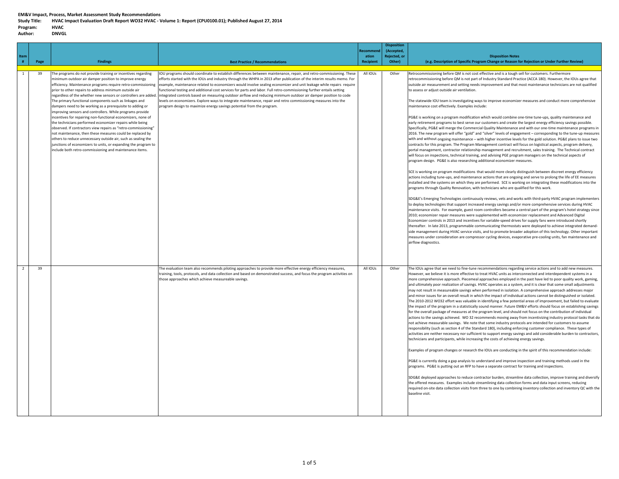Study Title: HVAC Impact Evaluation Draft Report WO32 HVAC - Volume 1: Report (CPU0100.01); Published August 27, 2014<br>Program: HVAC

 $Program:$ 

| lten<br>#    | Page | <b>Findings</b>                                                                                                                                                                                                                                                                                                                                                                                                                                                                                                                                                                                                                                                                                                                                                                                                                                                                                                                                                | <b>Best Practice / Recommendations</b>                                                                                                                                                                                                                                                                                                                                                                                                                                                                                                                                                                                                                                                                                                                                                                     | <b>lecomme</b><br>ation<br><b>Recipient</b> | <b>Disposition</b><br>(Accepted,<br><b>Rejected, or</b><br>Other) | <b>Disposition Notes</b><br>(e.g. Description of Specific Program Change or Reason for Rejection or Under Further Review)                                                                                                                                                                                                                                                                                                                                                                                                                                                                                                                                                                                                                                                                                                                                                                                                                                                                                                                                                                                                                                                                                                                                                                                                                                                                                                                                                                                                                                                                                                                                                                                                                                                                                                                                                                                                                                                                                                                                                                                                                                                                                                                                                                                                                                                                                                                                                                                                                                                                                                                                                                                                                                                                                                                                                                                                                                                                             |
|--------------|------|----------------------------------------------------------------------------------------------------------------------------------------------------------------------------------------------------------------------------------------------------------------------------------------------------------------------------------------------------------------------------------------------------------------------------------------------------------------------------------------------------------------------------------------------------------------------------------------------------------------------------------------------------------------------------------------------------------------------------------------------------------------------------------------------------------------------------------------------------------------------------------------------------------------------------------------------------------------|------------------------------------------------------------------------------------------------------------------------------------------------------------------------------------------------------------------------------------------------------------------------------------------------------------------------------------------------------------------------------------------------------------------------------------------------------------------------------------------------------------------------------------------------------------------------------------------------------------------------------------------------------------------------------------------------------------------------------------------------------------------------------------------------------------|---------------------------------------------|-------------------------------------------------------------------|-------------------------------------------------------------------------------------------------------------------------------------------------------------------------------------------------------------------------------------------------------------------------------------------------------------------------------------------------------------------------------------------------------------------------------------------------------------------------------------------------------------------------------------------------------------------------------------------------------------------------------------------------------------------------------------------------------------------------------------------------------------------------------------------------------------------------------------------------------------------------------------------------------------------------------------------------------------------------------------------------------------------------------------------------------------------------------------------------------------------------------------------------------------------------------------------------------------------------------------------------------------------------------------------------------------------------------------------------------------------------------------------------------------------------------------------------------------------------------------------------------------------------------------------------------------------------------------------------------------------------------------------------------------------------------------------------------------------------------------------------------------------------------------------------------------------------------------------------------------------------------------------------------------------------------------------------------------------------------------------------------------------------------------------------------------------------------------------------------------------------------------------------------------------------------------------------------------------------------------------------------------------------------------------------------------------------------------------------------------------------------------------------------------------------------------------------------------------------------------------------------------------------------------------------------------------------------------------------------------------------------------------------------------------------------------------------------------------------------------------------------------------------------------------------------------------------------------------------------------------------------------------------------------------------------------------------------------------------------------------------------|
| $\mathbf{1}$ | 39   | The programs do not provide training or incentives regarding<br>minimum outdoor air damper position to improve energy<br>efficiency. Maintenance programs require retro-commissioning<br>prior to other repairs to address minimum outside air<br>regardless of the whether new sensors or controllers are added.<br>The primary functional components such as linkages and<br>dampers need to be working as a prerequisite to adding or<br>improving sensors and controllers. While programs provide<br>incentives for repairing non-functional economizers, none of<br>the technicians performed economizer repairs while being<br>observed. If contractors view repairs as "retro-commissioning"<br>not maintenance, then these measures could be replaced by<br>others to reduce unnecessary outside air, such as sealing the<br>junctions of economizers to units, or expanding the program to<br>include both retro-commissioning and maintenance items. | IOU programs should coordinate to establish differences between maintenance, repair, and retro-commissioning. These<br>efforts started with the IOUs and industry through the WHPA in 2013 after publication of the interim results memo. For<br>example, maintenance related to economizers would involve sealing economizer and unit leakage while repairs require<br>functional testing and additional cost services for parts and labor. Full retro-commissioning further entails setting<br>integrated controls based on measuring outdoor airflow and reducing minimum outdoor air damper position to code<br>evels on economizers. Explore ways to integrate maintenance, repair and retro commissioning measures into the<br>program design to maximize energy savings potential from the program. | All IOUs                                    | Other                                                             | Retrocommissioning before QM is not cost effective and is a tough sell for customers. Furthermore<br>retrocommissioning before QM is not part of Industry Standard Practice (ACCA 180). However, the IOUs agree that<br>outside air measurement and setting needs improvement and that most maintenance technicians are not qualified<br>to assess or adjust outside air ventilation.<br>The statewide IOU team is investigating ways to improve economizer measures and conduct more comprehensive<br>maintenance cost effectively. Examples include:<br>PG&E is working on a program modification which would combine one-time tune-ups, quality maintenance and<br>early retirement programs to best serve our customers and create the largest energy efficiency savings possible.<br>Specifically, PG&E will merge the Commercial Quality Maintenance and with our one-time maintenance programs in<br>2016. The new program will offer "gold" and "silver" levels of engagement - corresponding to the tune-up measures<br>with and without ongoing maintenance - with higher incentive levels for the gold solution. PG&E plans to issue two<br>contracts for this program. The Program Management contract will focus on logistical aspects, program delivery,<br>portal management, contractor relationship management and recruitment, sales training. The Technical contract<br>will focus on inspections, technical training, and advising PGE program managers on the technical aspects of<br>program design. PG&E is also researching additional economizer measures.<br>SCE is working on program modifications that would more clearly distinguish between discreet energy efficiency<br>actions including tune-ups, and maintenance actions that are ongoing and serve to prolong the life of EE measures<br>installed and the systems on which they are performed. SCE is working on integrating these modifications into the<br>programs through Quality Renovation, with technicians who are qualified for this work.<br>SDG&E's Emerging Technologies continuously reviews, vets and works with third-party HVAC program implementers<br>to deploy technologies that support increased energy savings and/or more comprehensive services during HVAC<br>maintenance visits. For example, guest room controllers became a central part of the program's hotel strategy since<br>2010; economizer repair measures were supplemented with economizer replacement and Advanced Digital<br>Economizer controls in 2013 and incentives for variable-speed drives for supply fans were introduced shortly<br>thereafter. In late 2013, programmable communicating thermostats were deployed to achieve integrated demand-<br>side management during HVAC service visits, and to promote broader adoption of this technology. Other important<br>measures under consideration are compressor cycling devices, evaporative pre-cooling units, fan maintenance and<br>airflow diagnostics. |
|              | 39   |                                                                                                                                                                                                                                                                                                                                                                                                                                                                                                                                                                                                                                                                                                                                                                                                                                                                                                                                                                | The evaluation team also recommends piloting approaches to provide more effective energy efficiency measures,<br>training, tools, protocols, and data collection and based on demonstrated success, and focus the program activities on<br>those approaches which achieve measureable savings.                                                                                                                                                                                                                                                                                                                                                                                                                                                                                                             | All IOUs                                    | Other                                                             | The IOUs agree that we need to fine-tune recommendations regarding service actions and to add new measures.<br>However, we believe it is more effective to treat HVAC units as interconnected and interdependent systems in a<br>more comprehensive approach. Piecemeal approaches employed in the past have led to poor quality work, gaming,<br>and ultimately poor realization of savings. HVAC operates as a system, and it is clear that some small adjustments<br>may not result in measureable savings when performed in isolation. A comprehensive approach addresses major<br>and minor issues for an overall result in which the impact of individual actions cannot be distinguished or isolated.<br>The 2010-2012 WO32 effort was valuable in identifying a few potential areas of improvement, but failed to evaluate<br>the impact of the program in a statistically sound manner. Future EM&V efforts should focus on establishing savings<br>for the overall package of measures at the program level, and should not focus on the contribution of individual<br>actions to the savings achieved. WO 32 recommends moving away from incentivizing industry protocol tasks that do<br>not achieve measurable savings. We note that some industry protocols are intended for customers to assume<br>responsibility (such as section 4 of the Standard 180), including enforcing customer compliance. These types of<br>activities are neither necessary nor sufficient to support energy savings and add considerable burden to contractors,<br>technicians and participants, while increasing the costs of achieving energy savings.<br>Examples of program changes or research the IOUs are conducting in the spirit of this recommendation include:<br>PG&E is currently doing a gap analysis to understand and improve inspection and training methods used in the<br>programs. PG&E is putting out an RFP to have a separate contract for training and inspections.<br>SDG&E deployed approaches to reduce contractor burden, streamline data collection, improve training and diversify<br>the offered measures. Examples include streamlining data collection forms and data input screens, reducing<br>required on-site data collection visits from three to one by combining inventory collection and inventory QC with the<br>baseline visit.                                                                                                                                                                                                                                                                                                                                                                                                                                                                                                                                                                                                                                 |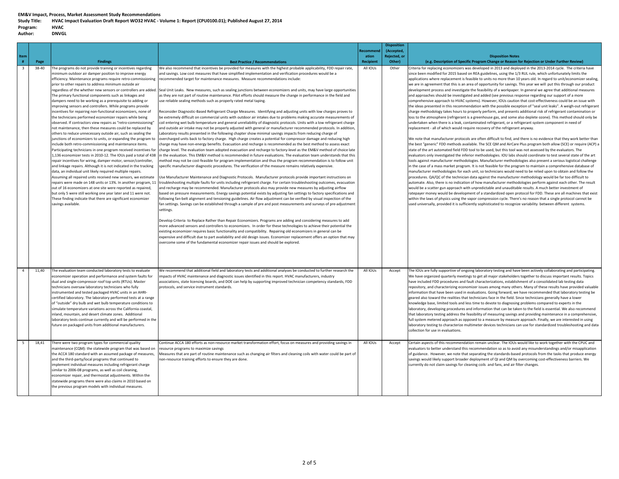# Study Title: HVAC Impact Evaluation Draft Report WO32 HVAC - Volume 1: Report (CPU0100.01); Published August 27, 2014<br>Program: HVAC

 $Program:$ 

|                         |       |                                                                                                                                                                                                                                                                                                                                                                                                                                                                                                                                                                                                                                                                                                                                                                                                                                                                                                                                                                                                                                                                                                                                                                                                                                                                                                                                                                                                                                                                                                                                                                                                                                                                    |                                                                                                                                                                                                                                                                                                                                                                                                                                                                                                                                                                                                                                                                                                                                                                                                                                                                                                                                                                                                                                                                                                                                                                                                                                                                                                                                                                                                                                                                                                                                                                                                                                                                                                                                                                                                                                                                                                                                                                                                                                                                                                                                                                                                                                                                                                                                                                                                                                                                                                                                                                                                                                                                                                                                                                                                                                                                                                                                                                                                                                                                                                                                                                                                                                                                                                                                                                 |                   | <b>Disposition</b>         |                                                                                                                                                                                                                                                                                                                                                                                                                                                                                                                                                                                                                                                                                                                                                                                                                                                                                                                                                                                                                                                                                                                                                                                                                                                                                                                                                                                                                                                                                                                                                                                                                                                                                                                                                                                                                                                                                                                                                                                                                                                                                                                                                                                                                                                                                                                                                                                                                                                                                                                                                                                                                                                                                                                                                                                                                                                                                                                                                |
|-------------------------|-------|--------------------------------------------------------------------------------------------------------------------------------------------------------------------------------------------------------------------------------------------------------------------------------------------------------------------------------------------------------------------------------------------------------------------------------------------------------------------------------------------------------------------------------------------------------------------------------------------------------------------------------------------------------------------------------------------------------------------------------------------------------------------------------------------------------------------------------------------------------------------------------------------------------------------------------------------------------------------------------------------------------------------------------------------------------------------------------------------------------------------------------------------------------------------------------------------------------------------------------------------------------------------------------------------------------------------------------------------------------------------------------------------------------------------------------------------------------------------------------------------------------------------------------------------------------------------------------------------------------------------------------------------------------------------|-----------------------------------------------------------------------------------------------------------------------------------------------------------------------------------------------------------------------------------------------------------------------------------------------------------------------------------------------------------------------------------------------------------------------------------------------------------------------------------------------------------------------------------------------------------------------------------------------------------------------------------------------------------------------------------------------------------------------------------------------------------------------------------------------------------------------------------------------------------------------------------------------------------------------------------------------------------------------------------------------------------------------------------------------------------------------------------------------------------------------------------------------------------------------------------------------------------------------------------------------------------------------------------------------------------------------------------------------------------------------------------------------------------------------------------------------------------------------------------------------------------------------------------------------------------------------------------------------------------------------------------------------------------------------------------------------------------------------------------------------------------------------------------------------------------------------------------------------------------------------------------------------------------------------------------------------------------------------------------------------------------------------------------------------------------------------------------------------------------------------------------------------------------------------------------------------------------------------------------------------------------------------------------------------------------------------------------------------------------------------------------------------------------------------------------------------------------------------------------------------------------------------------------------------------------------------------------------------------------------------------------------------------------------------------------------------------------------------------------------------------------------------------------------------------------------------------------------------------------------------------------------------------------------------------------------------------------------------------------------------------------------------------------------------------------------------------------------------------------------------------------------------------------------------------------------------------------------------------------------------------------------------------------------------------------------------------------------------------------------|-------------------|----------------------------|------------------------------------------------------------------------------------------------------------------------------------------------------------------------------------------------------------------------------------------------------------------------------------------------------------------------------------------------------------------------------------------------------------------------------------------------------------------------------------------------------------------------------------------------------------------------------------------------------------------------------------------------------------------------------------------------------------------------------------------------------------------------------------------------------------------------------------------------------------------------------------------------------------------------------------------------------------------------------------------------------------------------------------------------------------------------------------------------------------------------------------------------------------------------------------------------------------------------------------------------------------------------------------------------------------------------------------------------------------------------------------------------------------------------------------------------------------------------------------------------------------------------------------------------------------------------------------------------------------------------------------------------------------------------------------------------------------------------------------------------------------------------------------------------------------------------------------------------------------------------------------------------------------------------------------------------------------------------------------------------------------------------------------------------------------------------------------------------------------------------------------------------------------------------------------------------------------------------------------------------------------------------------------------------------------------------------------------------------------------------------------------------------------------------------------------------------------------------------------------------------------------------------------------------------------------------------------------------------------------------------------------------------------------------------------------------------------------------------------------------------------------------------------------------------------------------------------------------------------------------------------------------------------------------------------------------|
| Item                    |       |                                                                                                                                                                                                                                                                                                                                                                                                                                                                                                                                                                                                                                                                                                                                                                                                                                                                                                                                                                                                                                                                                                                                                                                                                                                                                                                                                                                                                                                                                                                                                                                                                                                                    |                                                                                                                                                                                                                                                                                                                                                                                                                                                                                                                                                                                                                                                                                                                                                                                                                                                                                                                                                                                                                                                                                                                                                                                                                                                                                                                                                                                                                                                                                                                                                                                                                                                                                                                                                                                                                                                                                                                                                                                                                                                                                                                                                                                                                                                                                                                                                                                                                                                                                                                                                                                                                                                                                                                                                                                                                                                                                                                                                                                                                                                                                                                                                                                                                                                                                                                                                                 | Recommen<br>ation | (Accepted,<br>Rejected, or | <b>Disposition Notes</b>                                                                                                                                                                                                                                                                                                                                                                                                                                                                                                                                                                                                                                                                                                                                                                                                                                                                                                                                                                                                                                                                                                                                                                                                                                                                                                                                                                                                                                                                                                                                                                                                                                                                                                                                                                                                                                                                                                                                                                                                                                                                                                                                                                                                                                                                                                                                                                                                                                                                                                                                                                                                                                                                                                                                                                                                                                                                                                                       |
| #                       | Page  | <b>Findings</b>                                                                                                                                                                                                                                                                                                                                                                                                                                                                                                                                                                                                                                                                                                                                                                                                                                                                                                                                                                                                                                                                                                                                                                                                                                                                                                                                                                                                                                                                                                                                                                                                                                                    |                                                                                                                                                                                                                                                                                                                                                                                                                                                                                                                                                                                                                                                                                                                                                                                                                                                                                                                                                                                                                                                                                                                                                                                                                                                                                                                                                                                                                                                                                                                                                                                                                                                                                                                                                                                                                                                                                                                                                                                                                                                                                                                                                                                                                                                                                                                                                                                                                                                                                                                                                                                                                                                                                                                                                                                                                                                                                                                                                                                                                                                                                                                                                                                                                                                                                                                                                                 | <b>Recipient</b>  | Other)                     | (e.g. Description of Specific Program Change or Reason for Rejection or Under Further Review)                                                                                                                                                                                                                                                                                                                                                                                                                                                                                                                                                                                                                                                                                                                                                                                                                                                                                                                                                                                                                                                                                                                                                                                                                                                                                                                                                                                                                                                                                                                                                                                                                                                                                                                                                                                                                                                                                                                                                                                                                                                                                                                                                                                                                                                                                                                                                                                                                                                                                                                                                                                                                                                                                                                                                                                                                                                  |
| $\overline{\mathbf{3}}$ | 38-40 | The programs do not provide training or incentives regarding<br>minimum outdoor air damper position to improve energy<br>efficiency. Maintenance programs require retro-commissioning<br>prior to other repairs to address minimum outside air<br>regardless of the whether new sensors or controllers are added.<br>The primary functional components such as linkages and<br>dampers need to be working as a prerequisite to adding or<br>improving sensors and controllers. While programs provide<br>incentives for repairing non-functional economizers, none of<br>the technicians performed economizer repairs while being<br>observed. If contractors view repairs as "retro-commissioning"<br>not maintenance, then these measures could be replaced by<br>others to reduce unnecessary outside air, such as sealing the<br>unctions of economizers to units, or expanding the program to<br>include both retro-commissioning and maintenance items.<br>Participating technicians in one program received incentives for<br>1,136 economizer tests in 2010-12. The IOUs paid a total of 438<br>repair incentives for wiring, damper motor, sensor/controller,<br>and linkage repairs. Although it is not indicated in the tracking<br>data, an individual unit likely required multiple repairs.<br>Assuming all repaired units received new sensors, we estimate<br>repairs were made on 148 units or 13%. In another program, 11<br>out of 16 economizers at one site were reported as repaired,<br>but only 5 were still working one year later and 11 were not.<br>These finding indicate that there are significant economizer<br>savings available. | <b>Best Practice / Recommendations</b><br>We also recommend that incentives be provided for measures with the highest probable applicability, FDD repair rate,<br>and savings. Low cost measures that have simplified implementation and verification procedures would be a<br>recommended target for maintenance measures. Measure recommendations include:<br>Seal Unit Leaks. New measures, such as sealing junctions between economizers and units, may have large opportunities<br>as they are not part of routine maintenance. Pilot efforts should measure the change in performance in the field and<br>use reliable sealing methods such as properly rated metal taping.<br>Reconsider Diagnostic-Based Refrigerant Charge Measures. Identifying and adjusting units with low charges proves to<br>be extremely difficult on commercial units with outdoor air intakes due to problems making accurate measurements of<br>coil entering wet bulb temperature and general unreliability of diagnostic protocols. Units with a low refrigerant charge<br>and outside air intake may not be properly adjusted with general or manufacturer recommended protocols. In addition,<br>Laboratory results presented in the following chapter show minimal savings impacts from reducing charge of<br>overcharged units back to factory charge. High charge creates a potential for compressor damage and reducing high<br>harge may have non-energy benefits. Evacuation and recharge is recommended as the best method to assess exact<br>charge level. The evaluation team adopted evacuation and recharge to factory-level as the EM&V method of choice late<br>n the evaluation. This EM&V method is recommended in future evaluations. The evaluation team understands that this<br>nethod may not be cost-feasible for program implementation and thus the program recommendation is to follow unit<br>specific manufacturer diagnostic procedures. The verification of the measure remains relatively expensive.<br>Use Manufacturer Maintenance and Diagnostic Protocols. Manufacturer protocols provide important instructions on<br>troubleshooting multiple faults for units including refrigerant charge. For certain troubleshooting outcomes, evacuation<br>and recharge may be recommended. Manufacturer protocols also may provide new measures by adjusting airflow<br>based on pressure measurements. Energy savings potential exists by adjusting fan settings to factory specifications and<br>following fan-belt alignment and tensioning guidelines. Air flow adjustment can be verified by visual inspection of the<br>fan settings. Savings can be established through a sample of pre and post measurements and surveys of pre-adjustment<br>settings.<br>Develop Criteria to Replace Rather than Repair Economizers. Programs are adding and considering measures to add<br>nore advanced sensors and controllers to economizers. In order for these technologies to achieve their potential the<br>existing economizer requires basic functionality and compatibility. Repairing old economizers in general can be<br>expensive and difficult due to part availability and old design issues. Economizer replacement offers an option that may<br>overcome some of the fundamental economizer repair issues and should be explored. | All IOUs          | Other                      | Criteria for replacing economizers was developed in 2013 and deployed in the 2013-2014 cycle. The criteria have<br>since been modified for 2015 based on REA guidelines, using the 1/3 RUL rule, which unfortunately limits the<br>applications where replacement is feasible to units no more than 10 years old. In regard to unit/economizer sealing,<br>we are in agreement that this is an area of opportunity for savings. This year we will put this through our product<br>development process and investigate the feasibility of a workpaper. In general we agree that additional measures<br>and approaches should be investigated and added (see previous response regarding our support of a more<br>comprehensive approach to HVAC systems). However, IOUs caution that cost-effectiveness could be an issue with<br>the ideas presented in this recommendation with the possible exception of "seal unit leaks". A weigh-out refrigerant<br>charge methodology takes hours to properly perform, and presents additional risk of refrigerant contamination or<br>loss to the atmosphere (refrigerant is a greenhouse gas, and some also deplete ozone). This method should only be<br>undertaken when there is a leak, contaminated refrigerant, or a refrigerant system component in need of<br>replacement - all of which would require recovery of the refrigerant anyway.<br>We note that manufacturer protocols are often difficult to find, and there is no evidence that they work better than<br>the best "generic" FDD methods available. The SCE QM and AirCare Plus program both allow (SCE) or require (ACP) a<br>state of the art automated field FDD tool to be used, but this tool was not assessed by the evaluators. The<br>evaluators only investigated the inferior methodologies. IOU labs should coordinate to test several state of the art<br>tools against manufacturer methodologies. Manufacturer methodologies also present a serious logistical challenge<br>in the case of a mass market program. It is not feasible for the program to maintain a comprehensive database of<br>manufacturer methodologies for each unit, so technicians would need to be relied upon to obtain and follow the<br>procedures. QA/QC of the technician data against the manufacturer methodology would be far too difficult to<br>automate. Also, there is no indication of how manufacturer methodologies perform against each other. The result<br>would be a scatter gun approach with unpredictable and unauditable results. A much better investment of<br>ratepayer money would be development of a standardized open protocol for FDD. These are all machines that exist<br>within the laws of physics using the vapor compression cycle. There's no reason that a single protocol cannot be<br>used universally, provided it is sufficiently sophisticated to recognize variability between different systems. |
| $\overline{4}$          | 11,40 | The evaluation team conducted laboratory tests to evaluate<br>economizer operation and performance and system faults for<br>dual and single-compressor roof top units (RTUs). Master<br>technicians oversaw laboratory technicians who fully<br>instrumented and tested packaged HVAC units in an AHRI-<br>certified laboratory. The laboratory performed tests at a range<br>of "outside" dry bulb and wet bulb temperature conditions to<br>simulate temperature variations across the California coastal,<br>inland, mountain, and desert climate zones. Additional<br>laboratory tests continue currently and will be performed in the<br>future on packaged units from additional manufacturers.                                                                                                                                                                                                                                                                                                                                                                                                                                                                                                                                                                                                                                                                                                                                                                                                                                                                                                                                                              | We recommend that additional field and laboratory tests and additional analyses be conducted to further research the<br>mpacts of HVAC maintenance and diagnostic issues identified in this report. HVAC manufacturers, industry<br>associations, state licensing boards, and DOE can help by supporting improved technician competency standards, FDD<br>protocols, and service instrument standards.                                                                                                                                                                                                                                                                                                                                                                                                                                                                                                                                                                                                                                                                                                                                                                                                                                                                                                                                                                                                                                                                                                                                                                                                                                                                                                                                                                                                                                                                                                                                                                                                                                                                                                                                                                                                                                                                                                                                                                                                                                                                                                                                                                                                                                                                                                                                                                                                                                                                                                                                                                                                                                                                                                                                                                                                                                                                                                                                                          | All IOUs          | Accept                     | The IOUs are fully supportive of ongoing laboratory testing and have been actively collaborating and participating.<br>We have organized quarterly meetings to get all major stakeholders together to discuss important results. Topics<br>have included FDD procedures and fault characterizations, establishment of a consolidated lab testing data<br>repository, and characterizing economizer issues among many others. Many of these results have provided valuable<br>information that have been used in evaluations. Going forward, we have recommended that laboratory testing be<br>geared also toward the realities that technicians face in the field. Since technicians generally have a lower<br>knowledge base, limited tools and less time to devote to diagnosing problems compared to experts in the<br>laboratory, developing procedures and information that can be taken to the field is essential. We also recommend<br>that laboratory testing address the feasibility of measuring savings and providing maintenance in a comprehensive,<br>full system metered approach as opposed to a measure by measure approach. Finally, we are interested in using<br>laboratory testing to characterize multimeter devices technicians can use for standardized troubleshooting and data<br>collection for use in evaluations.                                                                                                                                                                                                                                                                                                                                                                                                                                                                                                                                                                                                                                                                                                                                                                                                                                                                                                                                                                                                                                                                                                                                                                                                                                                                                                                                                                                                                                                                                                                                                                                                 |
| 5                       | 18.41 | There were two program types for commercial quality<br>maintenance (CQM): the statewide program that was based on<br>the ACCA 180 standard with an assumed package of measures,<br>and the third-party/local programs that continued to<br>implement individual measures including refrigerant charge<br>similar to 2006-08 programs, as well as coil cleaning,<br>economizer repair, and thermostat adjustments. Within the<br>statewide programs there were also claims in 2010 based on<br>the previous program models with individual measures.                                                                                                                                                                                                                                                                                                                                                                                                                                                                                                                                                                                                                                                                                                                                                                                                                                                                                                                                                                                                                                                                                                                | Continue ACCA 180 efforts as non-resource market transformation effort, focus on measures and providing savings in<br>resource programs to maximize savings<br>Measures that are part of routine maintenance such as changing air filters and cleaning coils with water could be part of<br>on-resource training efforts to ensure they are done.                                                                                                                                                                                                                                                                                                                                                                                                                                                                                                                                                                                                                                                                                                                                                                                                                                                                                                                                                                                                                                                                                                                                                                                                                                                                                                                                                                                                                                                                                                                                                                                                                                                                                                                                                                                                                                                                                                                                                                                                                                                                                                                                                                                                                                                                                                                                                                                                                                                                                                                                                                                                                                                                                                                                                                                                                                                                                                                                                                                                               | All IOUs          | Accept                     | Certain aspects of this recommendation remain unclear. The IOUs would like to work together with the CPUC and<br>evaluators to better understand this recommendation so as to avoid any misunderstandings and/or misapplication<br>of guidance. However, we note that separating the standards-based protocols from the tasks that produce energy<br>savings would likely support broader deployment of QI and QM by overcoming cost-effectiveness barriers. We<br>currently do not claim savings for cleaning coils and fans, and air filter changes.                                                                                                                                                                                                                                                                                                                                                                                                                                                                                                                                                                                                                                                                                                                                                                                                                                                                                                                                                                                                                                                                                                                                                                                                                                                                                                                                                                                                                                                                                                                                                                                                                                                                                                                                                                                                                                                                                                                                                                                                                                                                                                                                                                                                                                                                                                                                                                                         |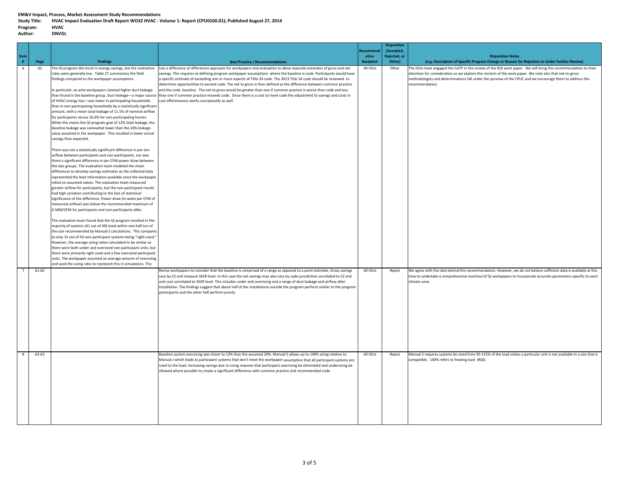# Study Title: HVAC Impact Evaluation Draft Report WO32 HVAC - Volume 1: Report (CPU0100.01); Published August 27, 2014<br>Program: HVAC

 $Program:$ 

|      |           |                                                                                                                                                                                                                                                                                                                                                                                                                                                                                                                                                                                                                                                                                                                                                                                                                                                                                                                                                                                                                                                                                                                                                                                                                                                                                                                                                                                                                                                                                                                                                                                                                                                                                                                                                                                                                                                                                                                                          |                                                                                                                                                                                                                                                                                                                                                                                                                                                                                                                                                                                                                                                                                                                                                                                       | <b>Recomme</b>   | <b>Disposition</b><br>(Accepted, |                                                                                                                                                                                                                                                                                                                                                                                                                                                              |
|------|-----------|------------------------------------------------------------------------------------------------------------------------------------------------------------------------------------------------------------------------------------------------------------------------------------------------------------------------------------------------------------------------------------------------------------------------------------------------------------------------------------------------------------------------------------------------------------------------------------------------------------------------------------------------------------------------------------------------------------------------------------------------------------------------------------------------------------------------------------------------------------------------------------------------------------------------------------------------------------------------------------------------------------------------------------------------------------------------------------------------------------------------------------------------------------------------------------------------------------------------------------------------------------------------------------------------------------------------------------------------------------------------------------------------------------------------------------------------------------------------------------------------------------------------------------------------------------------------------------------------------------------------------------------------------------------------------------------------------------------------------------------------------------------------------------------------------------------------------------------------------------------------------------------------------------------------------------------|---------------------------------------------------------------------------------------------------------------------------------------------------------------------------------------------------------------------------------------------------------------------------------------------------------------------------------------------------------------------------------------------------------------------------------------------------------------------------------------------------------------------------------------------------------------------------------------------------------------------------------------------------------------------------------------------------------------------------------------------------------------------------------------|------------------|----------------------------------|--------------------------------------------------------------------------------------------------------------------------------------------------------------------------------------------------------------------------------------------------------------------------------------------------------------------------------------------------------------------------------------------------------------------------------------------------------------|
| Iten |           |                                                                                                                                                                                                                                                                                                                                                                                                                                                                                                                                                                                                                                                                                                                                                                                                                                                                                                                                                                                                                                                                                                                                                                                                                                                                                                                                                                                                                                                                                                                                                                                                                                                                                                                                                                                                                                                                                                                                          |                                                                                                                                                                                                                                                                                                                                                                                                                                                                                                                                                                                                                                                                                                                                                                                       | ation            | <b>Rejected, or</b>              | <b>Disposition Notes</b>                                                                                                                                                                                                                                                                                                                                                                                                                                     |
|      | Page      | <b>Findings</b>                                                                                                                                                                                                                                                                                                                                                                                                                                                                                                                                                                                                                                                                                                                                                                                                                                                                                                                                                                                                                                                                                                                                                                                                                                                                                                                                                                                                                                                                                                                                                                                                                                                                                                                                                                                                                                                                                                                          | <b>Best Practice / Recommendations</b>                                                                                                                                                                                                                                                                                                                                                                                                                                                                                                                                                                                                                                                                                                                                                | <b>Recipient</b> |                                  |                                                                                                                                                                                                                                                                                                                                                                                                                                                              |
| #    | 62        | The QI program did result in energy savings, but the realization<br>rates were generally low. Table 27 summarizes the field<br>findings compared to the workpaper assumptions.<br>In particular, ex ante workpapers claimed higher duct leakage<br>than found in the baseline group. Duct leakage-a major source<br>of HVAC energy loss-was lower in participating households<br>than in non-participating households by a statistically significant<br>amount, with a mean total leakage of 11.5% of nominal airflow<br>for participants versus 16.6% for non-participating homes.<br>While this meets the QI program goal of 12% total leakage, the<br>baseline leakage was somewhat lower than the 24% leakage<br>value assumed in the workpaper. This resulted in lower actual<br>savings than expected.<br>There was not a statistically significant difference in per-ton<br>airflow between participants and non-participants, nor was<br>there a significant difference in per-CFM power draw between<br>the two groups. The evaluation team modeled the mean<br>differences to develop savings estimates as the collected data<br>represented the best information available since the workpaper<br>relied on assumed values. The evaluation team measured<br>greater airflow for participants, but the non-participant results<br>had high variation contributing to the lack of statistical<br>significance of the difference. Power draw (in watts per CFM of<br>measured airflow) was below the recommended maximum of<br>0.58W/CFM for participants and non-participants alike.<br>The evaluation team found that the QI program resulted in the<br>majority of systems (41 out of 49) sized within one-half ton of<br>the size recommended by Manual S calculations. This compares<br>to only 15 out of 50 non-participant systems being "right-sized."<br>However, the average sizing ratios calculated to be similar as | Use a difference of differences approach for workpapers and evaluation to allow separate estimates of gross and net<br>savings. This requires re-defining program workpaper assumptions where the baseline is code. Participants would have<br>a specific estimate of exceeding one or more aspects of Title-24 code. The 2013 Title 24 code should be reviewed to<br>determine opportunities to exceed code. The net to gross is then defined as the difference between common practice<br>and the code baseline. The net to gross would be greater than one if common practice is worse than code and less<br>than one if common practice exceeds code. Since there is a cost to meet code the adjustment to savings and costs in<br>cost effectiveness works conceptually as well. | All IOUs         | Other)<br>Other                  | (e.g. Description of Specific Program Change or Reason for Rejection or Under Further Review)<br>The IOUs have engaged the CaITF in the review of the RQI work paper. We will bring this recommendation to their<br>attention for consideration as we explore the revision of the work paper. We note also that net-to-gross<br>methodologies and determinations fall under the purview of the CPUC and we encourage them to address this<br>recommendation. |
|      |           | there were both under and oversized non-participant units, but<br>there were primarily right sized and a few oversized participant                                                                                                                                                                                                                                                                                                                                                                                                                                                                                                                                                                                                                                                                                                                                                                                                                                                                                                                                                                                                                                                                                                                                                                                                                                                                                                                                                                                                                                                                                                                                                                                                                                                                                                                                                                                                       |                                                                                                                                                                                                                                                                                                                                                                                                                                                                                                                                                                                                                                                                                                                                                                                       |                  |                                  |                                                                                                                                                                                                                                                                                                                                                                                                                                                              |
|      |           | units. The workpaper assumed an average amount of oversizing<br>and used the sizing ratio to represent this in simulations. The                                                                                                                                                                                                                                                                                                                                                                                                                                                                                                                                                                                                                                                                                                                                                                                                                                                                                                                                                                                                                                                                                                                                                                                                                                                                                                                                                                                                                                                                                                                                                                                                                                                                                                                                                                                                          |                                                                                                                                                                                                                                                                                                                                                                                                                                                                                                                                                                                                                                                                                                                                                                                       |                  |                                  |                                                                                                                                                                                                                                                                                                                                                                                                                                                              |
|      | $61 - 62$ |                                                                                                                                                                                                                                                                                                                                                                                                                                                                                                                                                                                                                                                                                                                                                                                                                                                                                                                                                                                                                                                                                                                                                                                                                                                                                                                                                                                                                                                                                                                                                                                                                                                                                                                                                                                                                                                                                                                                          | Revise workpapers to consider that the baseline is comprised of a range as opposed to a point estimate. Gross savings<br>vary by CZ and measure SEER level. In this case the net savings may also vary by code jurisdiction correlated to CZ and<br>unit cost correlated to SEER level. This includes under and oversizing and a range of duct leakage and airflow after<br>installation. The findings suggest that about half of the installations outside the program perform similar to the program<br>participants and the other half perform poorly.                                                                                                                                                                                                                             | All IOUs         | Reject                           | We agree with the idea behind this recommendation. However, we do not believe sufficient data is available at this<br>time to undertake a comprehensive overhaul of QI workpapers to incorporate accurate parameters-specific to each<br>climate zone.                                                                                                                                                                                                       |
|      | $62 - 63$ |                                                                                                                                                                                                                                                                                                                                                                                                                                                                                                                                                                                                                                                                                                                                                                                                                                                                                                                                                                                                                                                                                                                                                                                                                                                                                                                                                                                                                                                                                                                                                                                                                                                                                                                                                                                                                                                                                                                                          | Baseline system oversizing was closer to 13% than the assumed 20%. Manual S allows up to 140% sizing relative to<br>Manual J which leads to participant systems that don't meet the workpaper assumption that all participant systems are<br>sized to the load. Increasing savings due to sizing requires that participant oversizing be eliminated and undersizing be<br>allowed where possible to create a significant difference with common practice and recommended code.                                                                                                                                                                                                                                                                                                        | All IOUs         | Reject                           | Manual S requires systems be sized from 95-115% of the load unless a particular unit is not available in a size that is<br>compatible. 140% refers to heating load (RQI).                                                                                                                                                                                                                                                                                    |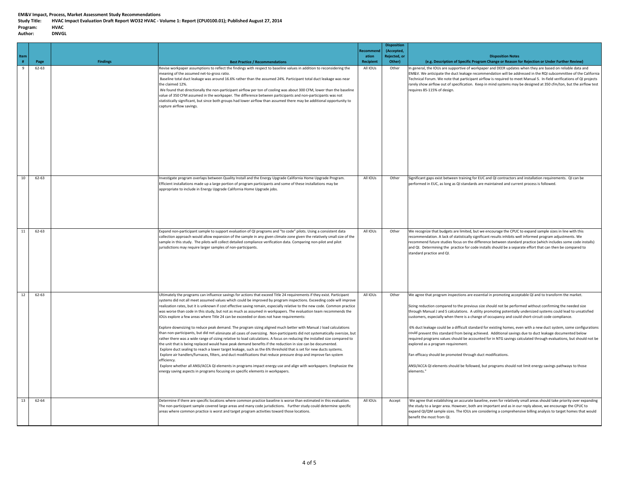Study Title: HVAC Impact Evaluation Draft Report WO32 HVAC - Volume 1: Report (CPU0100.01); Published August 27, 2014<br>Program: HVAC

 $Program:$ 

| tem<br># | Page      | <b>Findings</b> | <b>Best Practice / Recommendations</b>                                                                                                                                                                                                                                                                                                                                                                                                                                                                                                                                                                                                                                                                                                                                                                                                                                                                                                                                                                                                                                                                                                                                                                                                                                                                                                                                                                                                                                                                                                               | <b>Recommen</b><br>ation<br><b>Recipient</b> | <b>Disposition</b><br>(Accepted,<br>Rejected, or<br>Other) | <b>Disposition Notes</b><br>(e.g. Description of Specific Program Change or Reason for Rejection or Under Further Review)                                                                                                                                                                                                                                                                                                                                                                                                                                                                                                                                                                                                                                                                                                                                                                                                                                                                                                             |
|----------|-----------|-----------------|------------------------------------------------------------------------------------------------------------------------------------------------------------------------------------------------------------------------------------------------------------------------------------------------------------------------------------------------------------------------------------------------------------------------------------------------------------------------------------------------------------------------------------------------------------------------------------------------------------------------------------------------------------------------------------------------------------------------------------------------------------------------------------------------------------------------------------------------------------------------------------------------------------------------------------------------------------------------------------------------------------------------------------------------------------------------------------------------------------------------------------------------------------------------------------------------------------------------------------------------------------------------------------------------------------------------------------------------------------------------------------------------------------------------------------------------------------------------------------------------------------------------------------------------------|----------------------------------------------|------------------------------------------------------------|---------------------------------------------------------------------------------------------------------------------------------------------------------------------------------------------------------------------------------------------------------------------------------------------------------------------------------------------------------------------------------------------------------------------------------------------------------------------------------------------------------------------------------------------------------------------------------------------------------------------------------------------------------------------------------------------------------------------------------------------------------------------------------------------------------------------------------------------------------------------------------------------------------------------------------------------------------------------------------------------------------------------------------------|
|          | $62 - 63$ |                 | Revise workpaper assumptions to reflect the findings with respect to baseline values in addition to reconsidering the<br>meaning of the assumed net-to-gross ratio.<br>Baseline total duct leakage was around 16.6% rather than the assumed 24%. Participant total duct leakage was near<br>the claimed 12%.<br>We found that directionally the non-participant airflow per ton of cooling was about 300 CFM, lower than the baseline<br>value of 350 CFM assumed in the workpaper. The difference between participants and non-participants was not<br>statistically significant, but since both groups had lower airflow than assumed there may be additional opportunity to<br>capture airflow savings.                                                                                                                                                                                                                                                                                                                                                                                                                                                                                                                                                                                                                                                                                                                                                                                                                                           | All IOUs                                     | Other                                                      | In general, the IOUs are supportive of workpaper and DEER updates when they are based on reliable data and<br>EM&V. We anticipate the duct leakage recommendation will be addressed in the RQI subcommittee of the California<br>Technical Forum. We note that participant airflow is required to meet Manual S. In-field verifications of QI projects<br>rarely show airflow out of specification. Keep in mind systems may be designed at 350 cfm/ton, but the airflow test<br>requires 85-115% of design.                                                                                                                                                                                                                                                                                                                                                                                                                                                                                                                          |
| 10       | 62-63     |                 | Investigate program overlaps between Quality Install and the Energy Upgrade California Home Upgrade Program.<br>Efficient installations made up a large portion of program participants and some of these installations may be<br>appropriate to include in Energy Upgrade California Home Upgrade jobs.                                                                                                                                                                                                                                                                                                                                                                                                                                                                                                                                                                                                                                                                                                                                                                                                                                                                                                                                                                                                                                                                                                                                                                                                                                             | All IOUs                                     | Other                                                      | Significant gaps exist between training for EUC and QI contractors and installation requirements. QI can be<br>performed in EUC, as long as QI standards are maintained and current process is followed.                                                                                                                                                                                                                                                                                                                                                                                                                                                                                                                                                                                                                                                                                                                                                                                                                              |
| $11\,$   | $62 - 63$ |                 | Expand non-participant sample to support evaluation of QI programs and "to code" pilots. Using a consistent data<br>collection approach would allow expansion of the sample in any given climate zone given the relatively small size of the<br>sample in this study. The pilots will collect detailed compliance verification data. Comparing non-pilot and pilot<br>jurisdictions may require larger samples of non-participants.                                                                                                                                                                                                                                                                                                                                                                                                                                                                                                                                                                                                                                                                                                                                                                                                                                                                                                                                                                                                                                                                                                                  | All IOUs                                     | Other                                                      | We recognize that budgets are limited, but we encourage the CPUC to expand sample sizes in line with this<br>recommendation. A lack of statistically significant results inhibits well informed program adjustments. We<br>recommend future studies focus on the difference between standard practice (which includes some code installs)<br>and QI. Determining the practice for code installs should be a separate effort that can then be compared to<br>standard practice and QI.                                                                                                                                                                                                                                                                                                                                                                                                                                                                                                                                                 |
| 12       | $62 - 63$ |                 | Ultimately the programs can influence savings for actions that exceed Title 24 requirements if they exist. Participant<br>systems did not all meet assumed values which could be improved by program inspections. Exceeding code will improve<br>realization rates, but it is unknown if cost effective saving remain, especially relative to the new code. Common practice<br>was worse than code in this study, but not as much as assumed in workpapers. The evaluation team recommends the<br>IOUs explore a few areas where Title 24 can be exceeded or does not have requirements:<br>Explore downsizing to reduce peak demand. The program sizing aligned much better with Manual J load calculations<br>than non-participants, but did not eliminate all cases of oversizing. Non-participants did not systematically oversize, but<br>rather there was a wide range of sizing relative to load calculations. A focus on reducing the installed size compared to<br>the unit that is being replaced would have peak demand benefits if the reduction in size can be documented.<br>Explore duct sealing to reach a lower target leakage, such as the 6% threshold that is set for new ducts systems.<br>Explore air handlers/furnaces, filters, and duct modifications that reduce pressure drop and improve fan system<br>efficiency.<br>Explore whether all ANSI/ACCA QI elements in programs impact energy use and align with workpapers. Emphasize the<br>energy saving aspects in programs focusing on specific elements in workpapers. | All IOUs                                     | Other                                                      | We agree that program inspections are essential in promoting acceptable QI and to transform the market.<br>Sizing reduction compared to the previous size should not be performed without confirming the needed size<br>through Manual J and S calculations. A utility promoting potentially undersized systems could lead to unsatisfied<br>customers, especially when there is a change of occupancy and could short-circuit code compliance.<br>6% duct leakage could be a difficult standard for existing homes, even with a new duct system, some configurations<br>could prevent this standard from being achieved. Additional savings due to duct leakage documented below<br>required programs values should be accounted for in NTG savings calculated through evaluations, but should not be<br>explored as a program requirement.<br>Fan efficacy should be promoted through duct modifications.<br>ANSI/ACCA QI elements should be followed, but programs should not limit energy savings pathways to those<br>elements." |
| 13       | $62 - 64$ |                 | Determine if there are specific locations where common practice baseline is worse than estimated in this evaluation.<br>The non-participant sample covered large areas and many code jurisdictions. Further study could determine specific<br>areas where common practice is worst and target program activities toward those locations.                                                                                                                                                                                                                                                                                                                                                                                                                                                                                                                                                                                                                                                                                                                                                                                                                                                                                                                                                                                                                                                                                                                                                                                                             | All IOUs                                     | Accept                                                     | We agree that establishing an accurate baseline, even for relatively small areas should take priority over expanding<br>the study to a larger area. However, both are important and as in our reply above, we encourage the CPUC to<br>expand QI/QM sample sizes. The IOUs are considering a comprehensive billing analysis to target homes that would<br>benefit the most from QI.                                                                                                                                                                                                                                                                                                                                                                                                                                                                                                                                                                                                                                                   |